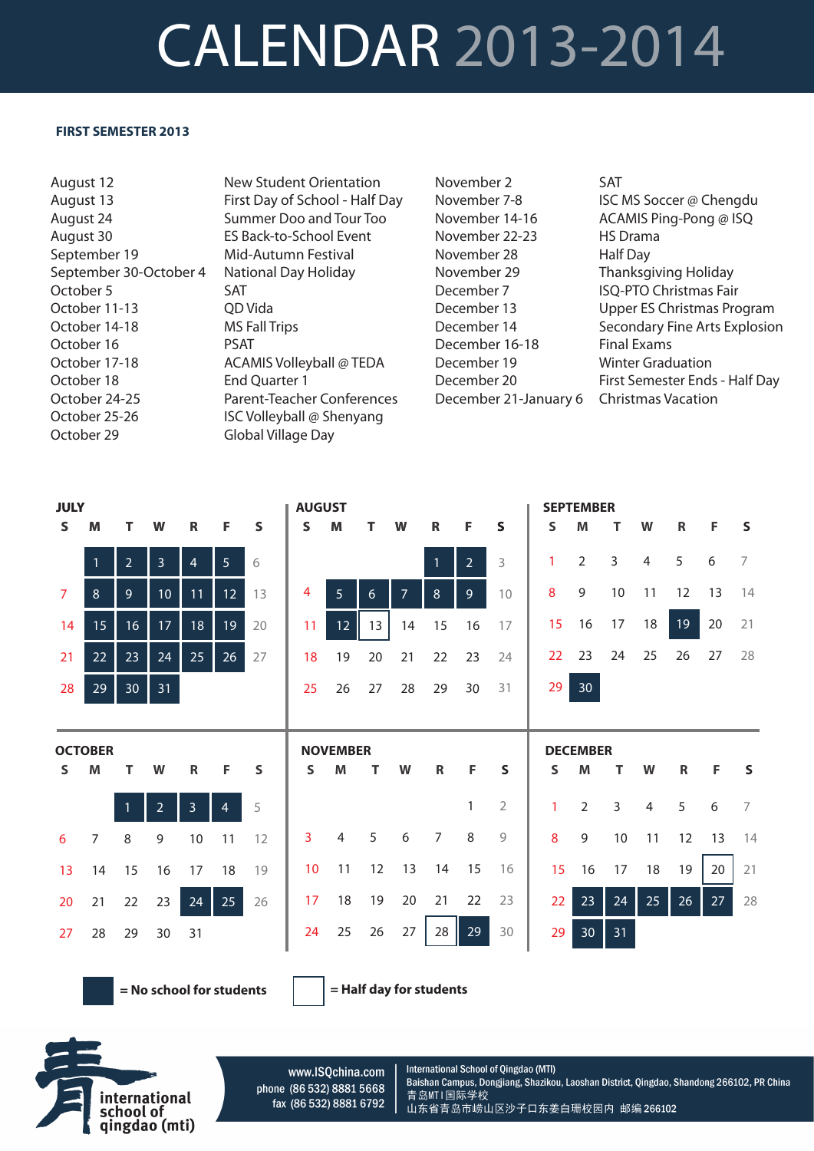## CALENDAR 2013-2014

## **FIRST SEMESTER 2013**

August 12 August 13 August 24 August 30 September 19 September 30-October 4 October 5 October 11-13 October 14-18 October 16 October 17-18 October 18 October 24-25 October 25-26 October 29

New Student Orientation First Day of School - Half Day Summer Doo and Tour Too ES Back-to-School Event Mid-Autumn Festival National Day Holiday SAT QD Vida MS Fall Trips PSAT ACAMIS Volleyball @ TEDA End Quarter 1 Parent-Teacher Conferences ISC Volleyball @ Shenyang Global Village Day

November 2 November 7-8 November 14-16 November 22-23 November 28 November 29 December 7 December 13 December 14 December 16-18 December 19 December 20 December 21-January 6

SAT ISC MS Soccer @ Chengdu ACAMIS Ping-Pong @ ISQ HS Drama Half Day Thanksgiving Holiday ISQ-PTO Christmas Fair Upper ES Christmas Program Secondary Fine Arts Explosion Final Exams Winter Graduation First Semester Ends - Half Day Christmas Vacation

| <b>JULY</b>    |                |                |                 |                |                 |    | <b>AUGUST</b>   |                 |    |                |                |                |                |    | <b>SEPTEMBER</b> |                |                |              |    |                |
|----------------|----------------|----------------|-----------------|----------------|-----------------|----|-----------------|-----------------|----|----------------|----------------|----------------|----------------|----|------------------|----------------|----------------|--------------|----|----------------|
| S              | M              | т              | W               | R              | F               | S  | s               | M               | т  | W              | $\mathbf R$    | F              | S              | S  | M                | т              | W              | $\mathsf{R}$ | F  | S              |
|                | $\mathbf{1}$   | $\overline{2}$ | 3               | $\overline{4}$ | 5 <sup>1</sup>  | 6  |                 |                 |    |                | $\mathbf{1}$   | 2 <sup>7</sup> | 3              | 1  | $\overline{2}$   | 3              | 4              | 5            | 6  | 7              |
| $\overline{7}$ | 8              | $\overline{9}$ | 10 <sup>°</sup> | 11             | 12 <sup>°</sup> | 13 | 4               | 5               | 6  | $\overline{7}$ | 8              | 9 <sup>°</sup> | 10             | 8  | 9                | 10             | 11             | 12           | 13 | 14             |
| 14             | 15             | 16             | 17              | 18             | 19              | 20 | 11              | 12              | 13 | 14             | 15             | 16             | 17             | 15 | 16               | 17             | 18             | 19           | 20 | 21             |
| 21             | 22             | 23             | 24              | 25             | 26              | 27 | 18              | 19              | 20 | 21             | 22             | 23             | 24             | 22 | 23               | 24             | 25             | 26           | 27 | 28             |
| 28             | 29             | 30             | 31              |                |                 |    | 25              | 26              | 27 | 28             | 29             | 30             | 31             | 29 | 30               |                |                |              |    |                |
|                |                |                |                 |                |                 |    |                 |                 |    |                |                |                |                |    |                  |                |                |              |    |                |
|                |                |                |                 |                |                 |    |                 |                 |    |                |                |                |                |    |                  |                |                |              |    |                |
|                | <b>OCTOBER</b> |                |                 |                |                 |    |                 | <b>NOVEMBER</b> |    |                |                |                |                |    | <b>DECEMBER</b>  |                |                |              |    |                |
| S              | M              | т              | W               | $\mathsf{R}$   | F               | S  | S               | M               | т  | W              | $\mathsf R$    | F              | S              | S  | M                | т              | W              | $\mathbb{R}$ | F  | S              |
|                |                |                | $\overline{2}$  | 3              | $\overline{4}$  | 5  |                 |                 |    |                |                | 1              | $\overline{2}$ | 1  | $\overline{2}$   | $\overline{3}$ | $\overline{4}$ | 5            | 6  | $\overline{7}$ |
| 6              | $\overline{7}$ | 8              | 9               | 10             | 11              | 12 | 3               | $\overline{4}$  | 5  | 6              | $\overline{7}$ | 8              | 9              | 8  | 9                | $10\,$         | 11             | 12           | 13 | 14             |
| 13             | 14             | 15             | 16              | 17             | 18              | 19 | 10 <sup>°</sup> | 11              | 12 | 13             | 14             | 15             | 16             | 15 | 16               | 17             | 18             | 19           | 20 | 21             |
| 20             | 21             | 22             | 23              | 24             | 25              | 26 | 17              | 18              | 19 | 20             | 21             | 22             | 23             | 22 | 23               | 24             | 25             | 26           | 27 | 28             |
| 27             | 28             | 29             | 30              | 31             |                 |    | 24              | 25              | 26 | 27             | 28             | 29             | 30             | 29 | 30 <sup>°</sup>  | 31             |                |              |    |                |

**= No school for students = Half day for students**



www.ISQchina.com phone (86 532) 8881 5668 fax (86 532) 8881 6792

International School of Qingdao (MTI) Baishan Campus, Dongjiang, Shazikou, Laoshan District, Qingdao, Shandong 266102, PR China 青岛MTI国际学校 山东省青岛市崂山区沙子口东姜白珊校园内 邮编 266102